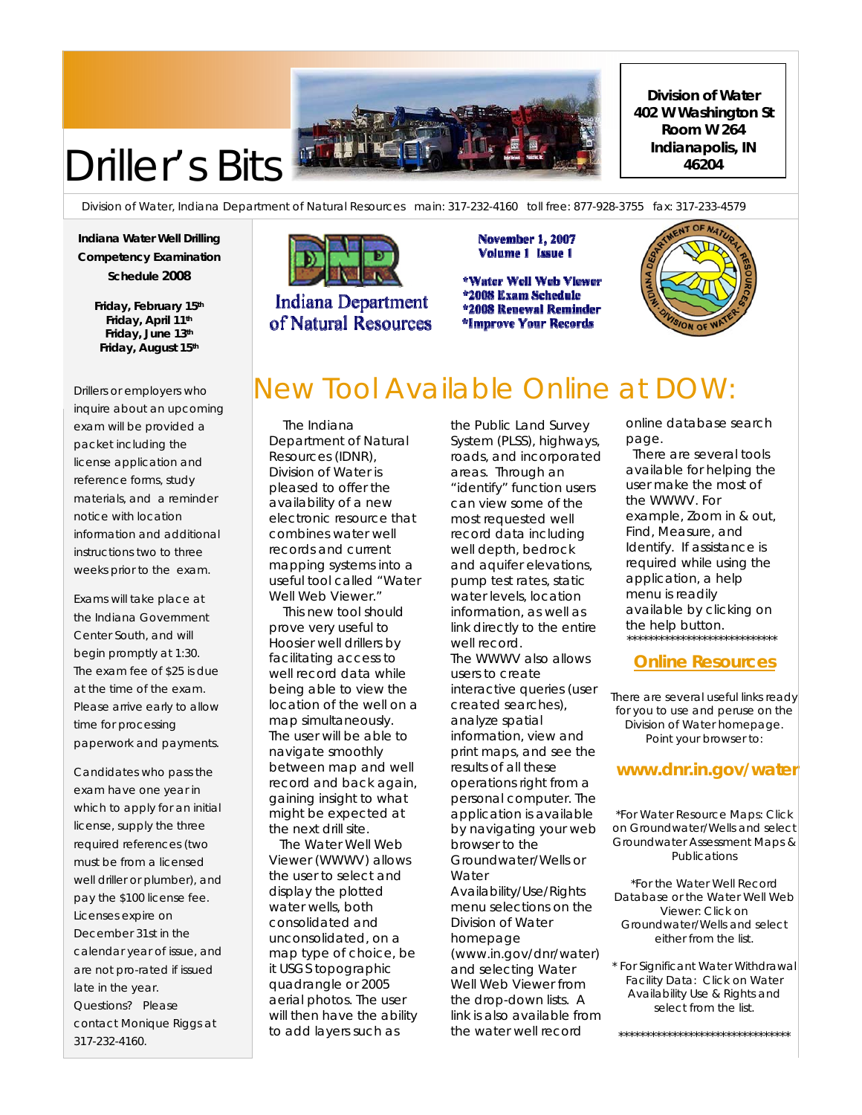

# Driller's Bits

Division of Water, Indiana Department of Natural Resources main: 317-232-4160 toll free: 877-928-3755 fax: 317-233-4579

**Indiana Water Well Drilling Competency Examination Schedule 2008** 

> **Friday, February 15th Friday, April 11th Friday, June 13th Friday, August 15th**

Drillers or employers who inquire about an upcoming exam will be provided a packet including the license application and reference forms, study materials, and a reminder notice with location information and additional instructions two to three weeks prior to the exam.

Exams will take place at the Indiana Government Center South, and will begin promptly at 1:30. The exam fee of \$25 is due at the time of the exam. Please arrive early to allow time for processing paperwork and payments.

Candidates who pass the exam have one year in which to apply for an initial license, supply the three required references (two must be from a licensed well driller or plumber), and pay the \$100 license fee. Licenses expire on December 31st in the calendar year of issue, and are not pro-rated if issued late in the year. Questions? Please contact Monique Riggs at 317-232-4160.



**Indiana Department** of Natural Resources **November 1, 2007** Volume 1 Issue 1

\*Water Well Web Viewer \*2008 Exam Schedule \*2008 Renewal Reminder \*Improve Your Records



**Division of Water 402 W Washington St Room W 264 Indianapolis, IN 46204**

### New Tool Available Online at DOW:

 The Indiana Department of Natural Resources (IDNR), Division of Water is pleased to offer the availability of a new electronic resource that combines water well records and current mapping systems into a useful tool called "Water Well Web Viewer."

 This new tool should prove very useful to Hoosier well drillers by facilitating access to well record data while being able to view the location of the well on a map simultaneously. The user will be able to navigate smoothly between map and well record and back again, gaining insight to what might be expected at the next drill site.

 The Water Well Web Viewer (WWWV) allows the user to select and display the plotted water wells, both consolidated and unconsolidated, on a map type of choice, be it USGS topographic quadrangle or 2005 aerial photos. The user will then have the ability to add layers such as

the Public Land Survey System (PLSS), highways, roads, and incorporated areas. Through an "identify" function users can view some of the most requested well record data including well depth, bedrock and aquifer elevations, pump test rates, static water levels, location information, as well as link directly to the entire well record.

The WWWV also allows users to create interactive queries (user created searches), analyze spatial information, view and print maps, and see the results of all these operations right from a personal computer. The application is available by navigating your web browser to the Groundwater/Wells or **Water** Availability/Use/Rights menu selections on the Division of Water homepage (www.in.gov/dnr/water) and selecting Water Well Web Viewer from the drop-down lists. A link is also available from the water well record

online database search page.

 There are several tools available for helping the user make the most of the WWWV. For example, Zoom in & out, Find, Measure, and Identify. If assistance is required while using the application, a help menu is readily available by clicking on the help button. \*\*\*\*\*\*\*\*\*\*\*\*\*\*\*\*\*\*\*\*\*\*\*\*\*\*\*\*

#### **Online Resources**

There are several useful links ready for you to use and peruse on the Division of Water homepage. Point your browser to:

### **www.dnr.in.gov/water**

\*For Water Resource Maps: Click on Groundwater/Wells and select Groundwater Assessment Maps & Publications

\*For the Water Well Record Database or the Water Well Web Viewer: Click on Groundwater/Wells and select either from the list.

\* For Significant Water Withdrawal Facility Data: Click on Water Availability Use & Rights and select from the list.

\*\*\*\*\*\*\*\*\*\*\*\*\*\*\*\*\*\*\*\*\*\*\*\*\*\*\*\*\*\*\*\*